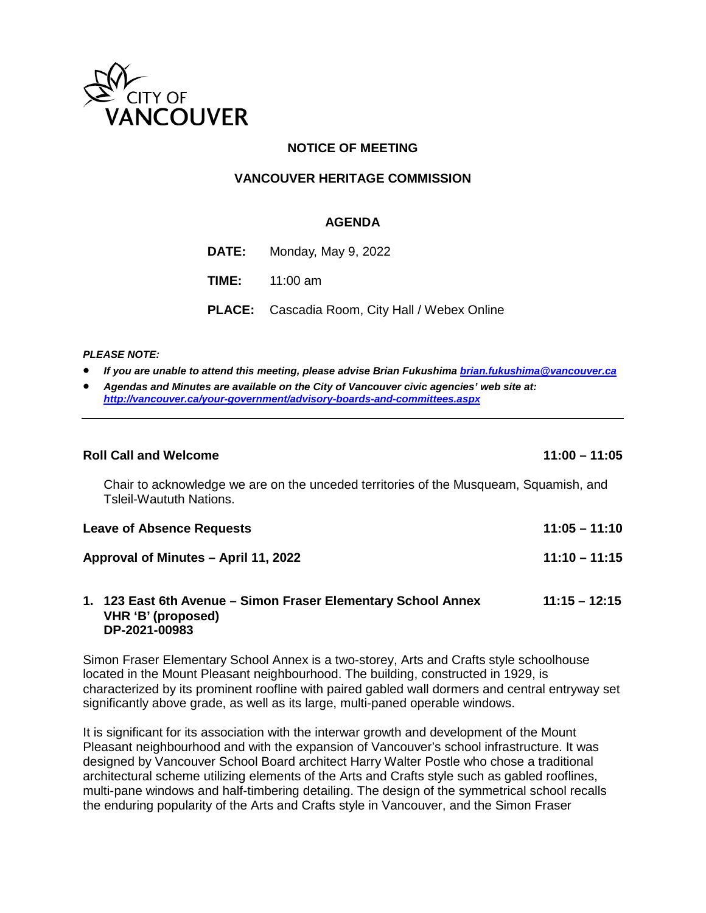

# **NOTICE OF MEETING**

#### **VANCOUVER HERITAGE COMMISSION**

#### **AGENDA**

| <b>DATE:</b> Monday, May $9, 2022$                    |
|-------------------------------------------------------|
| <b>TIME:</b> $11:00 \text{ am}$                       |
| <b>PLACE:</b> Cascadia Room, City Hall / Webex Online |

#### *PLEASE NOTE:*

- *If you are unable to attend this meeting, please advise Brian Fukushima [brian.fukushima@vancouver.ca](mailto:brian.fukushima@vancouver.ca)*
- *Agendas and Minutes are available on the City of Vancouver civic agencies' web site at: <http://vancouver.ca/your-government/advisory-boards-and-committees.aspx>*

| <b>Roll Call and Welcome</b>                                                                                     | $11:00 - 11:05$ |  |
|------------------------------------------------------------------------------------------------------------------|-----------------|--|
| Chair to acknowledge we are on the unceded territories of the Musqueam, Squamish, and<br>Tsleil-Waututh Nations. |                 |  |
| <b>Leave of Absence Requests</b>                                                                                 | $11:05 - 11:10$ |  |
| Approval of Minutes – April 11, 2022                                                                             | $11:10 - 11:15$ |  |
| 1. 123 East 6th Avenue – Simon Fraser Elementary School Annex<br>VHR 'B' (proposed)                              | $11:15 - 12:15$ |  |

# **DP-2021-00983**

Simon Fraser Elementary School Annex is a two-storey, Arts and Crafts style schoolhouse located in the Mount Pleasant neighbourhood. The building, constructed in 1929, is characterized by its prominent roofline with paired gabled wall dormers and central entryway set significantly above grade, as well as its large, multi-paned operable windows.

It is significant for its association with the interwar growth and development of the Mount Pleasant neighbourhood and with the expansion of Vancouver's school infrastructure. It was designed by Vancouver School Board architect Harry Walter Postle who chose a traditional architectural scheme utilizing elements of the Arts and Crafts style such as gabled rooflines, multi-pane windows and half-timbering detailing. The design of the symmetrical school recalls the enduring popularity of the Arts and Crafts style in Vancouver, and the Simon Fraser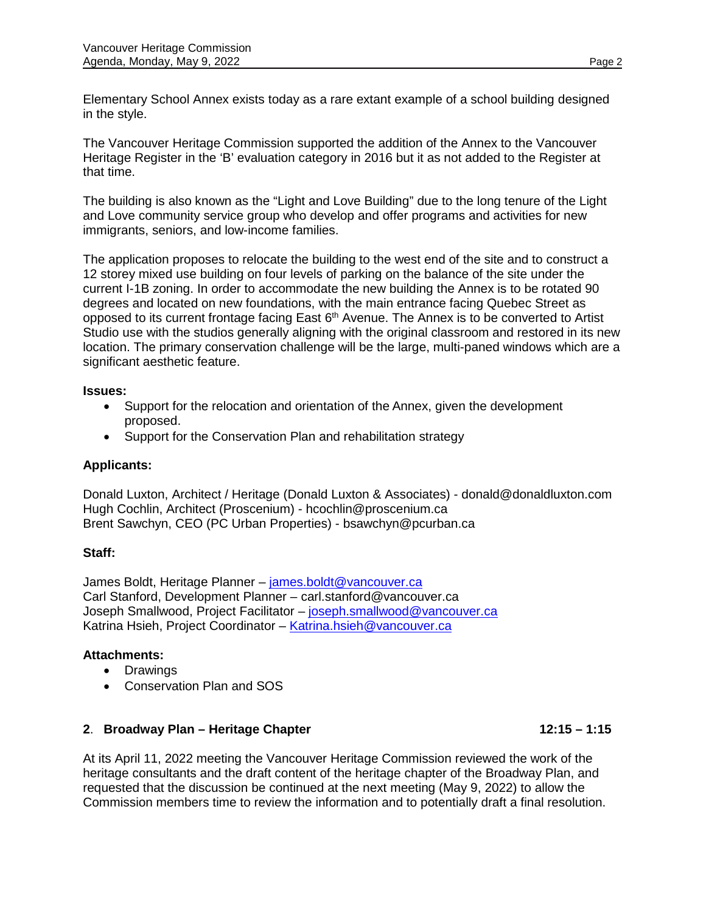Elementary School Annex exists today as a rare extant example of a school building designed in the style.

The Vancouver Heritage Commission supported the addition of the Annex to the Vancouver Heritage Register in the 'B' evaluation category in 2016 but it as not added to the Register at that time.

The building is also known as the "Light and Love Building" due to the long tenure of the Light and Love community service group who develop and offer programs and activities for new immigrants, seniors, and low-income families.

The application proposes to relocate the building to the west end of the site and to construct a 12 storey mixed use building on four levels of parking on the balance of the site under the current I-1B zoning. In order to accommodate the new building the Annex is to be rotated 90 degrees and located on new foundations, with the main entrance facing Quebec Street as opposed to its current frontage facing East 6<sup>th</sup> Avenue. The Annex is to be converted to Artist Studio use with the studios generally aligning with the original classroom and restored in its new location. The primary conservation challenge will be the large, multi-paned windows which are a significant aesthetic feature.

# **Issues:**

- Support for the relocation and orientation of the Annex, given the development proposed.
- Support for the Conservation Plan and rehabilitation strategy

# **Applicants:**

Donald Luxton, [Architect / Heritage \(Donald Luxton & Associates\) - donald@donaldluxton.com](mailto:%20Architect%20/%20Heritage%20(Donald%20Luxton%20&%20Associates)%20-%20donald@donaldluxton.com%20%0d)  Hugh Cochlin, Architect (Proscenium) - [hcochlin@proscenium.ca](mailto:hcochlin@proscenium.ca) Brent Sawchyn, CEO (PC Urban Properties) - [bsawchyn@pcurban.ca](mailto:bsawchyn@pcurban.ca)

# **Staff:**

James Boldt, Heritage Planner – [james.boldt@vancouver.ca](mailto:james.boldt@vancouver.ca) Carl Stanford, Development Planner – carl.stanford@vancouver.ca Joseph Smallwood, Project Facilitator – [joseph.smallwood@vancouver.ca](mailto:joseph.smallwood@vancouver.ca) Katrina Hsieh, Project Coordinator – [Katrina.hsieh@vancouver.ca](mailto:Katrina.hsieh@vancouver.ca)

# **Attachments:**

- Drawings
- Conservation Plan and SOS

# **2. Broadway Plan – Heritage Chapter 12:15 – 1:15**

At its April 11, 2022 meeting the Vancouver Heritage Commission reviewed the work of the heritage consultants and the draft content of the heritage chapter of the Broadway Plan, and requested that the discussion be continued at the next meeting (May 9, 2022) to allow the Commission members time to review the information and to potentially draft a final resolution.